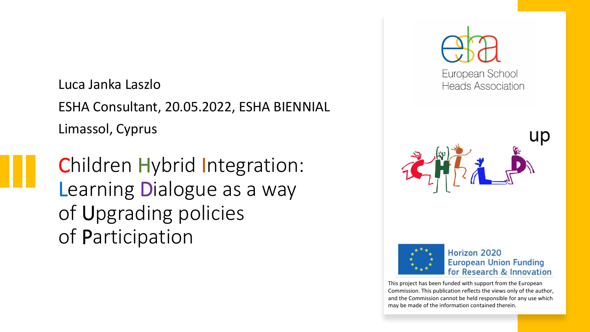Luca Janka Laszlo ESHA Consultant, 20.05.2022, ESHA BIENNIAL Limassol, Cyprus

Children Hybrid Integration: Learning Dialogue as a way of Upgrading policies of Participation







Horizon 2020 **European Union Funding** for Research & Innovation

This project has been funded with support from the European Commission. This publication reflects the views only of the author, and the Commission cannot be held responsible for any use which may be made of the information contained therein.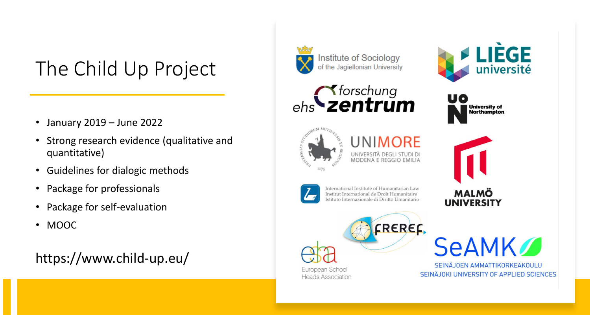#### The Child Up Project

- January 2019 June 2022
- Strong research evidence (qualitative and quantitative)
- Guidelines for dialogic methods
- Package for professionals
- Package for self-evaluation
- MOOC

https://www.child-up.eu/

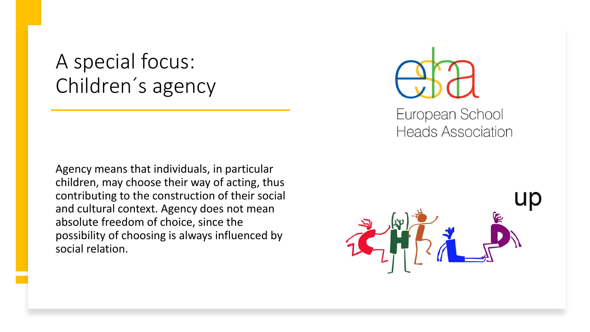#### A special focus: Children´ s agency

Agency means that individuals, in particular children, may choose their way of acting, thus contributing to the construction of their social and cultural context. Agency does not mean absolute freedom of choice, since the possibility of choosing is always influenced by social relation.



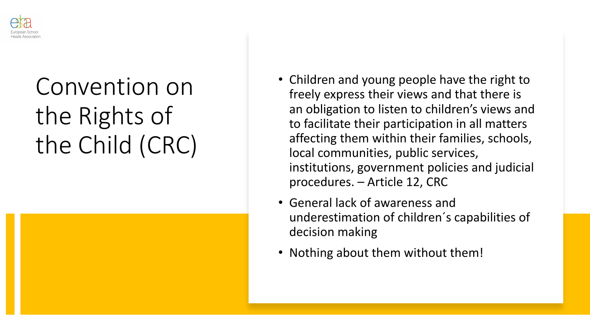

### Convention on the Rights of the Child (CRC)

- Children and young people have the right to freely express their views and that there is an obligation to listen to children's views and to facilitate their participation in all matters affecting them within their families, schools, local communities, public services, institutions, government policies and judicial procedures. – Article 12, CRC
- General lack of awareness and underestimation of children´s capabilities of decision making
- Nothing about them without them!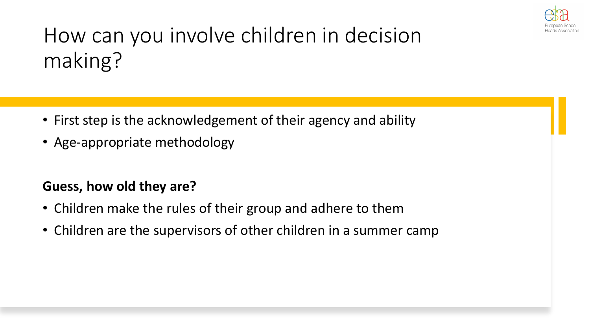

### How can you involve children in decision making?

- First step is the acknowledgement of their agency and ability
- Age-appropriate methodology

#### **Guess, how old they are?**

- Children make the rules of their group and adhere to them
- Children are the supervisors of other children in a summer camp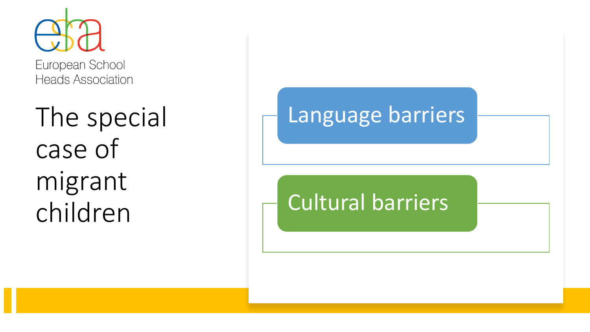

**Heads Association** 

The special case of migrant children

#### Language barriers

#### Cultural barriers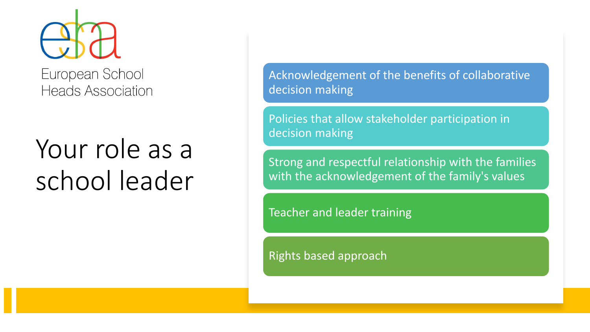

European School **Heads Association** 

## Your role as a school leader

Acknowledgement of the benefits of collaborative decision making

Policies that allow stakeholder participation in decision making

Strong and respectful relationship with the families with the acknowledgement of the family's values

Teacher and leader training

Rights based approach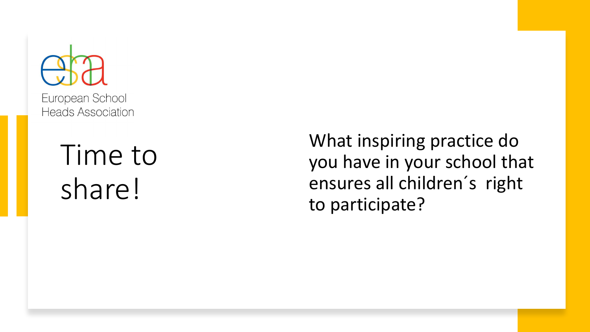European School **Heads Association** 

> Time to share!

What inspiring practice do you have in your school that ensures all children ´s right to participate?